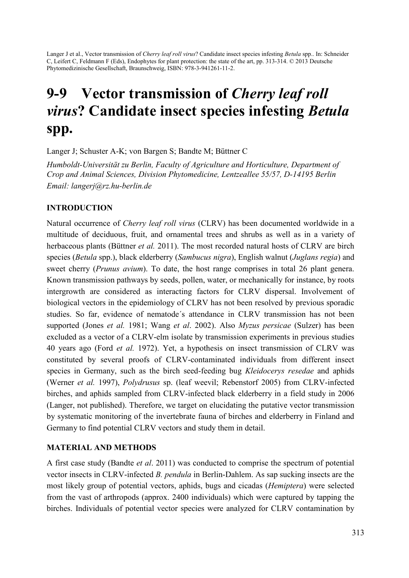Langer J et al., Vector transmission of *Cherry leaf roll virus*? Candidate insect species infesting *Betula* spp.. In: Schneider C, Leifert C, Feldmann F (Eds), Endophytes for plant protection: the state of the art, pp. 313-314. © 2013 Deutsche Phytomedizinische Gesellschaft, Braunschweig, ISBN: 978-3-941261-11-2.

# 9-9 Vector transmission of *Cherry leaf roll virus*? Candidate insect species infesting *Betula* spp.

Langer J; Schuster A-K; von Bargen S; Bandte M; Büttner C

*Humboldt-Universität zu Berlin, Faculty of Agriculture and Horticulture, Department of Crop and Animal Sciences, Division Phytomedicine, Lentzeallee 55/57, D-14195 Berlin Email: langerj@rz.hu-berlin.de* 

### INTRODUCTION

Natural occurrence of *Cherry leaf roll virus* (CLRV) has been documented worldwide in a multitude of deciduous, fruit, and ornamental trees and shrubs as well as in a variety of herbaceous plants (Büttner *et al.* 2011). The most recorded natural hosts of CLRV are birch species (*Betula* spp.), black elderberry (*Sambucus nigra*), English walnut (*Juglans regia*) and sweet cherry (*Prunus avium*). To date, the host range comprises in total 26 plant genera. Known transmission pathways by seeds, pollen, water, or mechanically for instance, by roots intergrowth are considered as interacting factors for CLRV dispersal. Involvement of biological vectors in the epidemiology of CLRV has not been resolved by previous sporadic studies. So far, evidence of nematode´s attendance in CLRV transmission has not been supported (Jones *et al.* 1981; Wang *et al*. 2002). Also *Myzus persicae* (Sulzer) has been excluded as a vector of a CLRV-elm isolate by transmission experiments in previous studies 40 years ago (Ford *et al.* 1972). Yet, a hypothesis on insect transmission of CLRV was constituted by several proofs of CLRV-contaminated individuals from different insect species in Germany, such as the birch seed-feeding bug *Kleidocerys resedae* and aphids (Werner *et al.* 1997), *Polydrusus* sp. (leaf weevil; Rebenstorf 2005) from CLRV-infected birches, and aphids sampled from CLRV-infected black elderberry in a field study in 2006 (Langer, not published). Therefore, we target on elucidating the putative vector transmission by systematic monitoring of the invertebrate fauna of birches and elderberry in Finland and Germany to find potential CLRV vectors and study them in detail.

### MATERIAL AND METHODS

A first case study (Bandte *et al*. 2011) was conducted to comprise the spectrum of potential vector insects in CLRV-infected *B. pendula* in Berlin-Dahlem. As sap sucking insects are the most likely group of potential vectors, aphids, bugs and cicadas (*Hemiptera*) were selected from the vast of arthropods (approx. 2400 individuals) which were captured by tapping the birches. Individuals of potential vector species were analyzed for CLRV contamination by